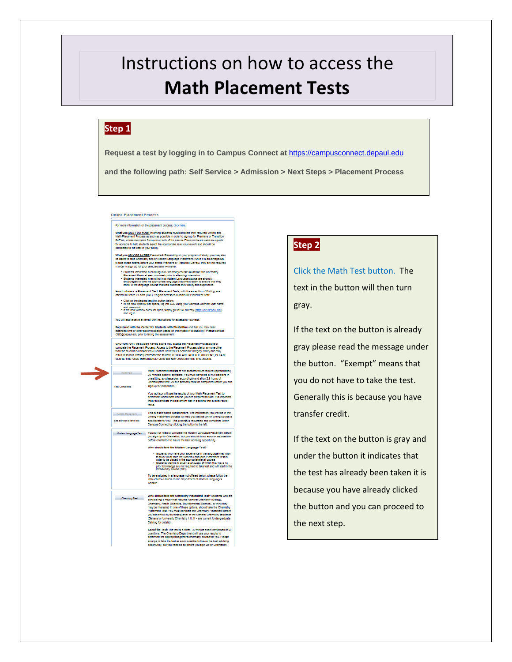# Instructions on how to access the **Math Placement Tests**

#### **Step 1**

**Request a test by logging in to Campus Connect at** [https://campusconnect.depaul.edu](https://campusconnect.depaul.edu/)

**and the following path: Self Service > Admission > Next Steps > Placement Process**

#### **Online Placement Process**

For more information on the placement process, click here. What you <u>MUST DO NOW)</u> incoming students must complete their required Writing and<br>Main Pacement Phocess as soon as possible in order to sign up for Premiere or Transiton<br>To shall, unless scenipted from one or both of the

What you <u>MAY DO LATER</u> if required: Depending on your program of study, you may also<br>be asked to take Chemistry and/or Modem Language Flacement. While it is advantageous<br>to take these exams before your attend Premierer<br>in

Students Interested in enrolling in a Chemistry course must take the Chemistry<br>Placement Exem at least one week prior to alternating orientation.<br>Students itlenested in enrolling in a Modern Language course are strongly<br>en

.<br>How to Access a Placement Test: Placement Tests, with the exception of Writing, are<br>offered in Desire 2 Learn (D2L). To gain access to a particular Placement Test.

and password.<br>• If the new window does not open, simply go to D2L directly (https://d2l.depaul.edu)

You will also receive an email with instructions for accessing your test.

Registered with the Center for Students with Disabilities and feel you may need<br>extended time or other accommodation based on the impact of a disability? Please contact<br>CSD@depaul.edu prior to taking the assessment.

CAUTION: City the student named above may access the Placement Process site or<br>complete the Placement Process, Access to the Placement Process site by anyone other<br>than the student is considered a tyleston of DePaul's Acad

Neth Placement consists of the sections which require approximately<br>30 minutes each to complete. You must complete all the sections<br>one stimp, so please plan according and alow 2.5 hours of<br>Text Completed before you can<br>Te

Your advisor will use the results of your Math Placement Test to<br>determine which math course you are prepared to take. It is import<br>that you complete the placement test in a setting that allows you to<br>.....................

.<br>- Modern Language Test | You do not need to complete the Modern Language Placement before you sign up for Orientation, but you should do so as soon as possible<br>- before orientation to insure the best advising opportunity

Who should take the Modern Language Test? - Students who have prior experience in the language they wish<br>to study must take the Modern Language Placement Test in<br>order to be placed in the appropriate level course.<br>- Students wishing to study a language of which th

moductory course (101).<br>To be evaluated in a language not offered below, please follow the<br>instructions outlined on the Department of Modern Languages

Who should lake the Chemistry Plasement Test? Suderts who are<br>Chemistry Test consisting a major hat results Chemistry (Biology,<br>Chemistry Health Sciences, Emistenments Sciencel, or think they<br>may be internated more of thes

About the Tech The test is a timed, 30-minute exam composed of 2<br>questions. The Chemistry Department will use your results to the<br>determine the appropriate general chemistry course for you. Please<br>airange to take the test sed of 20

#### **Step 2**

Click the Math Test button. The text in the button will then turn gray.

If the text on the button is already gray please read the message under the button. "Exempt" means that you do not have to take the test. Generally this is because you have transfer credit.

If the text on the button is gray and under the button it indicates that the test has already been taken it is because you have already clicked the button and you can proceed to the next step.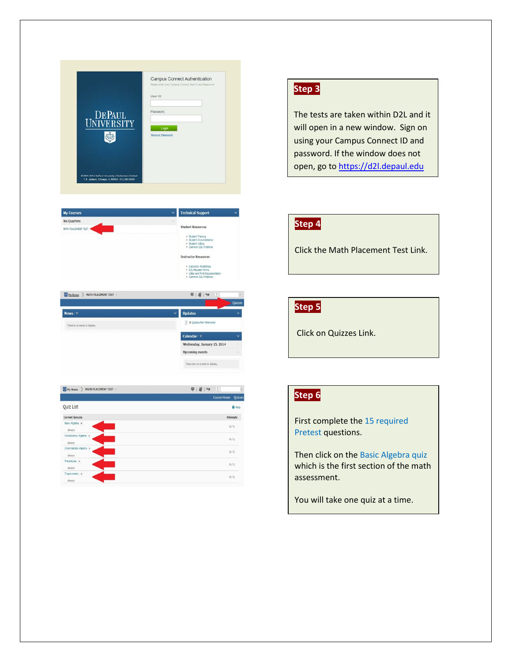| DEPAUL<br>UNIVERSITY                                                                                 | Campus Connect Authentication<br>Please enter your Campus Connect User D and Fassword<br>User ID:<br>Password:<br>Login<br>Recover Password |
|------------------------------------------------------------------------------------------------------|---------------------------------------------------------------------------------------------------------------------------------------------|
| @ 2001-2014 BePaul University   Disdaimer   Contact<br>1 F. Jadson, Chinago, IL 60604 ( 312-362-8000 |                                                                                                                                             |



 $\overline{\psi} \mid \overline{\underline{B}} \mid \overline{\ast \rho}$ 

 $\boxed{?}$  5 Quizzes Not Attempt Calendar | ⊽

sday, January 15, 2014 **Upcoming events** There are no events to display.

Ny Home > MATH PLACEMENT TEST +

# **Step 3**

The tests are taken within D2L and it will open in a new window. Sign on using your Campus Connect ID and password. If the window does not open, go to [https://d2l.depaul.edu](https://d2l.depaul.edu/)

# **Step 4**

Click the Math Placement Test Link.

### **Step 5**

Click on Quizzes Link.

| My Home ><br>MATH PLACEMENT TEST * | $\frac{1}{2}$   $\frac{1}{2}$   $\frac{1}{2}$<br>$\sqrt{2}$ |  |
|------------------------------------|-------------------------------------------------------------|--|
|                                    | <b>Course Home</b><br><b>Quizzes</b>                        |  |
| Quiz List                          | O Help                                                      |  |
| <b>Current Quizzes</b>             | Attempts                                                    |  |
| Basic Algebra<br>always            | 0/1                                                         |  |
| Introductory Algebra +<br>always   | 0/1                                                         |  |
| Intermediate Algebra »<br>always   | 0/1                                                         |  |
| Precalculus v<br>always            | 0/1                                                         |  |
| Trigonometry $\sqrt{*}$<br>always  | 0/1                                                         |  |

## **Step 6**

First complete the 15 required Pretest questions.

Then click on the Basic Algebra quiz which is the first section of the math assessment.

You will take one quiz at a time.